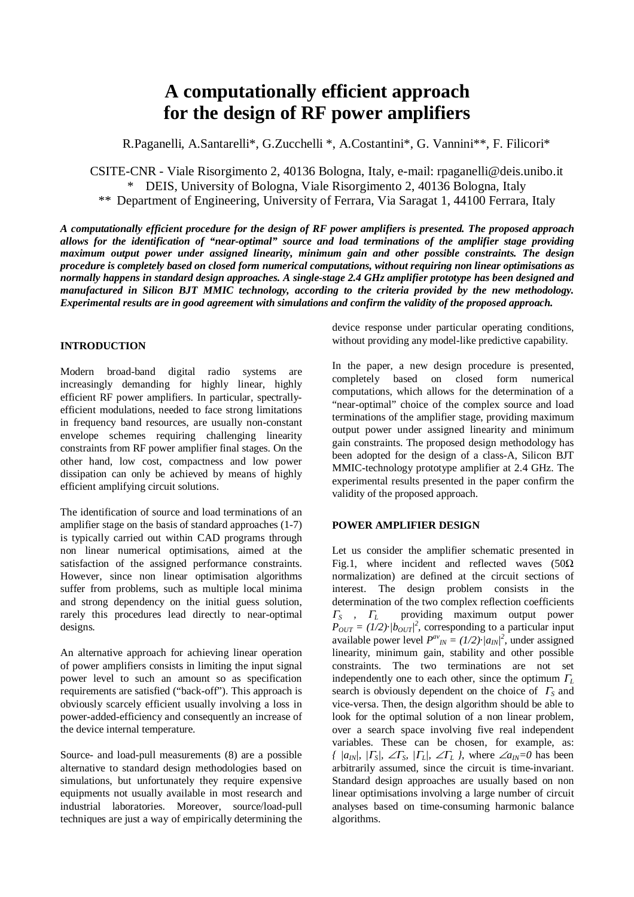# **A computationally efficient approach for the design of RF power amplifiers**

R.Paganelli, A.Santarelli\*, G.Zucchelli \*, A.Costantini\*, G. Vannini\*\*, F. Filicori\*

CSITE-CNR - Viale Risorgimento 2, 40136 Bologna, Italy, e-mail: rpaganelli@deis.unibo.it \* DEIS, University of Bologna, Viale Risorgimento 2, 40136 Bologna, Italy \*\* Department of Engineering, University of Ferrara, Via Saragat 1, 44100 Ferrara, Italy

*A computationally efficient procedure for the design of RF power amplifiers is presented. The proposed approach allows for the identification of "near-optimal" source and load terminations of the amplifier stage providing maximum output power under assigned linearity, minimum gain and other possible constraints. The design procedure is completely based on closed form numerical computations, without requiring non linear optimisations as normally happens in standard design approaches. A single-stage 2.4 GHz amplifier prototype has been designed and manufactured in Silicon BJT MMIC technology, according to the criteria provided by the new methodology. Experimental results are in good agreement with simulations and confirm the validity of the proposed approach.* 

## **INTRODUCTION**

Modern broad-band digital radio systems are increasingly demanding for highly linear, highly efficient RF power amplifiers. In particular, spectrallyefficient modulations, needed to face strong limitations in frequency band resources, are usually non-constant envelope schemes requiring challenging linearity constraints from RF power amplifier final stages. On the other hand, low cost, compactness and low power dissipation can only be achieved by means of highly efficient amplifying circuit solutions.

The identification of source and load terminations of an amplifier stage on the basis of standard approaches (1-7) is typically carried out within CAD programs through non linear numerical optimisations, aimed at the satisfaction of the assigned performance constraints. However, since non linear optimisation algorithms suffer from problems, such as multiple local minima and strong dependency on the initial guess solution, rarely this procedures lead directly to near-optimal designs.

An alternative approach for achieving linear operation of power amplifiers consists in limiting the input signal power level to such an amount so as specification requirements are satisfied ("back-off"). This approach is obviously scarcely efficient usually involving a loss in power-added-efficiency and consequently an increase of the device internal temperature.

Source- and load-pull measurements (8) are a possible alternative to standard design methodologies based on simulations, but unfortunately they require expensive equipments not usually available in most research and industrial laboratories. Moreover, source/load-pull techniques are just a way of empirically determining the device response under particular operating conditions, without providing any model-like predictive capability.

In the paper, a new design procedure is presented, completely based on closed form numerical computations, which allows for the determination of a "near-optimal" choice of the complex source and load terminations of the amplifier stage, providing maximum output power under assigned linearity and minimum gain constraints. The proposed design methodology has been adopted for the design of a class-A, Silicon BJT MMIC-technology prototype amplifier at 2.4 GHz. The experimental results presented in the paper confirm the validity of the proposed approach.

## **POWER AMPLIFIER DESIGN**

Let us consider the amplifier schematic presented in Fig.1, where incident and reflected waves  $(50\Omega)$ normalization) are defined at the circuit sections of interest. The design problem consists in the determination of the two complex reflection coefficients <sup>Γ</sup>*S ,* <sup>Γ</sup>*L* providing maximum output power  $P_{OUT} = (1/2) \cdot |b_{OUT}|^2$ , corresponding to a particular input available power level  $P^{av}_{IN} = (1/2) \cdot |a_{IN}|^2$ , under assigned linearity, minimum gain, stability and other possible constraints. The two terminations are not set independently one to each other, since the optimum <sup>Γ</sup>*<sup>L</sup>* search is obviously dependent on the choice of <sup>Γ</sup>*S* and vice-versa. Then, the design algorithm should be able to look for the optimal solution of a non linear problem, over a search space involving five real independent variables. These can be chosen, for example, as: *{ |a<sub>IN</sub>|, |* $\Gamma_s$ *|, ∠* $\Gamma_s$ *, |* $\Gamma_l$ *|, ∠* $\Gamma_l$ *}*, where ∠*a<sub>IN</sub>*=0 has been arbitrarily assumed, since the circuit is time-invariant. Standard design approaches are usually based on non linear optimisations involving a large number of circuit analyses based on time-consuming harmonic balance algorithms.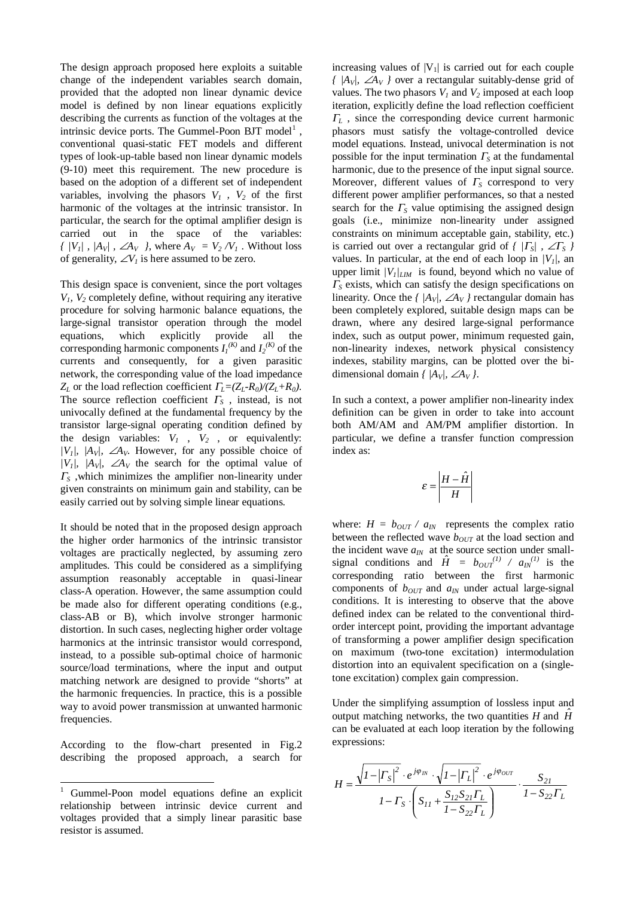The design approach proposed here exploits a suitable change of the independent variables search domain, provided that the adopted non linear dynamic device model is defined by non linear equations explicitly describing the currents as function of the voltages at the intrinsic device ports. The Gummel-Poon BJT model<sup>1</sup>, conventional quasi-static FET models and different types of look-up-table based non linear dynamic models (9-10) meet this requirement. The new procedure is based on the adoption of a different set of independent variables, involving the phasors  $V_1$ ,  $V_2$  of the first harmonic of the voltages at the intrinsic transistor. In particular, the search for the optimal amplifier design is carried out in the space of the variables: *{ |V<sub>1</sub>|, |A<sub>V</sub>|, ∠A<sub>V</sub> }, where*  $A_V = V_2/V_1$ *. Without loss* of generality,  $\angle V_l$  is here assumed to be zero.

This design space is convenient, since the port voltages *V1, V2* completely define, without requiring any iterative procedure for solving harmonic balance equations, the large-signal transistor operation through the model equations, which explicitly provide all the corresponding harmonic components  $I_I^{(K)}$  and  $I_2^{(K)}$  of the currents and consequently, for a given parasitic network, the corresponding value of the load impedance *ZL* or the load reflection coefficient Γ*L=(ZL-R0)/(ZL+R0)*. The source reflection coefficient <sup>Γ</sup>*S* , instead, is not univocally defined at the fundamental frequency by the transistor large-signal operating condition defined by the design variables:  $V_1$ ,  $V_2$ , or equivalently: *|V<sub>1</sub>|, |A<sub>V</sub>|, ∠A<sub>V</sub>. However, for any possible choice of |V<sub>1</sub>|, |A<sub>V</sub>|, ∠A<sub>V</sub>* the search for the optimal value of <sup>Γ</sup>*S* ,which minimizes the amplifier non-linearity under given constraints on minimum gain and stability, can be easily carried out by solving simple linear equations.

It should be noted that in the proposed design approach the higher order harmonics of the intrinsic transistor voltages are practically neglected, by assuming zero amplitudes. This could be considered as a simplifying assumption reasonably acceptable in quasi-linear class-A operation. However, the same assumption could be made also for different operating conditions (e.g., class-AB or B), which involve stronger harmonic distortion. In such cases, neglecting higher order voltage harmonics at the intrinsic transistor would correspond, instead, to a possible sub-optimal choice of harmonic source/load terminations, where the input and output matching network are designed to provide "shorts" at the harmonic frequencies. In practice, this is a possible way to avoid power transmission at unwanted harmonic frequencies.

According to the flow-chart presented in Fig.2 describing the proposed approach, a search for

 $\overline{a}$ 

increasing values of  $|V_1|$  is carried out for each couple *{ |AV|,* ∠*AV }* over a rectangular suitably-dense grid of values. The two phasors  $V_1$  and  $V_2$  imposed at each loop iteration, explicitly define the load reflection coefficient <sup>Γ</sup>*L* , since the corresponding device current harmonic phasors must satisfy the voltage-controlled device model equations. Instead, univocal determination is not possible for the input termination  $\Gamma<sub>S</sub>$  at the fundamental harmonic, due to the presence of the input signal source. Moreover, different values of <sup>Γ</sup>*S* correspond to very different power amplifier performances, so that a nested search for the  $\Gamma<sub>S</sub>$  value optimising the assigned design goals (i.e., minimize non-linearity under assigned constraints on minimum acceptable gain, stability, etc.) is carried out over a rectangular grid of  $\frac{f}{F_s}$ ,  $\angle F_s$ values. In particular, at the end of each loop in  $/V_l$ , an upper limit  $/V_I/_{LIM}$  is found, beyond which no value of <sup>Γ</sup>*<sup>S</sup>* exists, which can satisfy the design specifications on linearity. Once the  $\frac{f}{A_V}$ , ∠ $A_V$  } rectangular domain has been completely explored, suitable design maps can be drawn, where any desired large-signal performance index, such as output power, minimum requested gain, non-linearity indexes, network physical consistency indexes, stability margins, can be plotted over the bidimensional domain  $\frac{f}{A_V}$ , ∠*A<sub>V</sub>*.

In such a context, a power amplifier non-linearity index definition can be given in order to take into account both AM/AM and AM/PM amplifier distortion. In particular, we define a transfer function compression index as:

$$
\varepsilon = \left| \frac{H - \hat{H}}{H} \right|
$$

where:  $H = b_{OUT} / a_{IN}$  represents the complex ratio between the reflected wave  $b_{OUT}$  at the load section and the incident wave  $a_{IN}$  at the source section under smallsignal conditions and  $\hat{H} = b_{OUT}^{(1)} / a_{IN}^{(1)}$  is the corresponding ratio between the first harmonic components of  $b_{OUT}$  and  $a_{IN}$  under actual large-signal conditions. It is interesting to observe that the above defined index can be related to the conventional thirdorder intercept point, providing the important advantage of transforming a power amplifier design specification on maximum (two-tone excitation) intermodulation distortion into an equivalent specification on a (singletone excitation) complex gain compression.

Under the simplifying assumption of lossless input and output matching networks, the two quantities  $H$  and  $\hat{H}$ can be evaluated at each loop iteration by the following expressions:

$$
H = \frac{\sqrt{I - |T_S|^2} \cdot e^{j\varphi_{IN}} \cdot \sqrt{I - |T_L|^2} \cdot e^{j\varphi_{OUT}}}{I - T_S \cdot \left(S_{II} + \frac{S_{I2}S_{2I} \cdot T_L}{I - S_{22} \cdot T_L}\right)} \cdot \frac{S_{2I}}{I - S_{22} \cdot T_L}
$$

<sup>1</sup> Gummel-Poon model equations define an explicit relationship between intrinsic device current and voltages provided that a simply linear parasitic base resistor is assumed.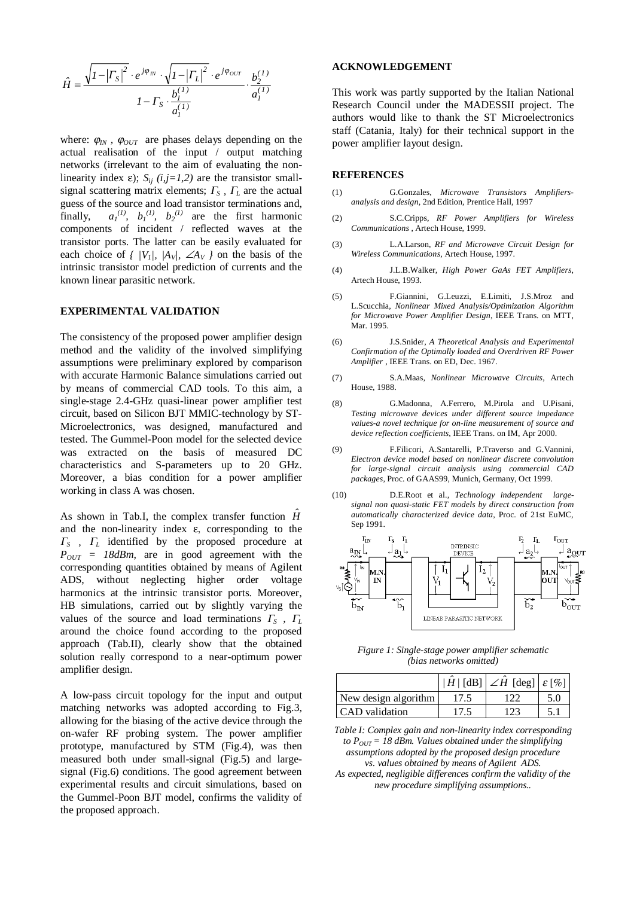$$
\hat{H} = \frac{\sqrt{I - |F_S|^2} \cdot e^{j\varphi_{IN}} \cdot \sqrt{I - |F_L|^2} \cdot e^{j\varphi_{OUT}}}{I - F_S \cdot \frac{b_l^{(1)}}{a_l^{(1)}}} \cdot \frac{b_2^{(1)}}{a_l^{(1)}}
$$

where:  $\varphi_{IN}$ ,  $\varphi_{OUT}$  are phases delays depending on the actual realisation of the input / output matching networks (irrelevant to the aim of evaluating the nonlinearity index  $\varepsilon$ ); *S<sub>ij</sub>* (*i,j*=*1,2*) are the transistor smallsignal scattering matrix elements;  $\Gamma_s$ ,  $\Gamma_l$  are the actual guess of the source and load transistor terminations and, finally,  $\langle b_1^{(1)}, b_2^{(1)}, b_2^{(1)} \rangle$  are the first harmonic components of incident / reflected waves at the transistor ports. The latter can be easily evaluated for each choice of  $\frac{f}{V_1}$ ,  $\frac{A_V}{A_V}$ ,  $\frac{A_V}{A_V}$  on the basis of the intrinsic transistor model prediction of currents and the known linear parasitic network.

### **EXPERIMENTAL VALIDATION**

The consistency of the proposed power amplifier design method and the validity of the involved simplifying assumptions were preliminary explored by comparison with accurate Harmonic Balance simulations carried out by means of commercial CAD tools. To this aim, a single-stage 2.4-GHz quasi-linear power amplifier test circuit, based on Silicon BJT MMIC-technology by ST-Microelectronics, was designed, manufactured and tested. The Gummel-Poon model for the selected device was extracted on the basis of measured DC characteristics and S-parameters up to 20 GHz. Moreover, a bias condition for a power amplifier working in class A was chosen.

As shown in Tab.I, the complex transfer function  $\hat{H}$ and the non-linearity index ε, corresponding to the <sup>Γ</sup>*S ,* <sup>Γ</sup>*L* identified by the proposed procedure at  $P_{OUT}$  = 18dBm, are in good agreement with the corresponding quantities obtained by means of Agilent ADS, without neglecting higher order voltage harmonics at the intrinsic transistor ports. Moreover, HB simulations, carried out by slightly varying the values of the source and load terminations  $\Gamma<sub>S</sub>$ ,  $\Gamma<sub>L</sub>$ around the choice found according to the proposed approach (Tab.II), clearly show that the obtained solution really correspond to a near-optimum power amplifier design.

A low-pass circuit topology for the input and output matching networks was adopted according to Fig.3, allowing for the biasing of the active device through the on-wafer RF probing system. The power amplifier prototype, manufactured by STM (Fig.4), was then measured both under small-signal (Fig.5) and largesignal (Fig.6) conditions. The good agreement between experimental results and circuit simulations, based on the Gummel-Poon BJT model, confirms the validity of the proposed approach.

#### **ACKNOWLEDGEMENT**

This work was partly supported by the Italian National Research Council under the MADESSII project. The authors would like to thank the ST Microelectronics staff (Catania, Italy) for their technical support in the power amplifier layout design.

#### **REFERENCES**

- (1) G.Gonzales, *Microwave Transistors Amplifiersanalysis and design*, 2nd Edition, Prentice Hall, 1997
- (2) S.C.Cripps, *RF Power Amplifiers for Wireless Communications* , Artech House, 1999.
- (3) L.A.Larson, *RF and Microwave Circuit Design for Wireless Communications*, Artech House, 1997.
- (4) J.L.B.Walker, *High Power GaAs FET Amplifiers*, Artech House, 1993.
- (5) F.Giannini, G.Leuzzi, E.Limiti, J.S.Mroz and L.Scucchia, *Nonlinear Mixed Analysis/Optimization Algorithm for Microwave Power Amplifier Design*, IEEE Trans. on MTT, Mar. 1995.
- (6) J.S.Snider, *A Theoretical Analysis and Experimental Confirmation of the Optimally loaded and Overdriven RF Power Amplifier* , IEEE Trans. on ED, Dec. 1967.
- (7) S.A.Maas, *Nonlinear Microwave Circuits*, Artech House, 1988.
- (8) G.Madonna, A.Ferrero, M.Pirola and U.Pisani, *Testing microwave devices under different source impedance values-a novel technique for on-line measurement of source and device reflection coefficients*, IEEE Trans. on IM, Apr 2000.
- (9) F.Filicori, A.Santarelli, P.Traverso and G.Vannini, *Electron device model based on nonlinear discrete convolution for large-signal circuit analysis using commercial CAD packages*, Proc. of GAAS99, Munich, Germany, Oct 1999.
- (10) D.E.Root et al., *Technology independent largesignal non quasi-static FET models by direct construction from automatically characterized device data*, Proc. of 21st EuMC, Sep 1991.



*Figure 1: Single-stage power amplifier schematic (bias networks omitted)* 

|                      |      | $ \hat{H}/\lceil d\text{B} \rceil$ $\angle H$ [deg] $ \varepsilon$ [%] |  |
|----------------------|------|------------------------------------------------------------------------|--|
| New design algorithm |      |                                                                        |  |
| CAD validation       | 17.5 |                                                                        |  |

*Table I: Complex gain and non-linearity index corresponding to*  $P_{OUT} = 18$  *dBm. Values obtained under the simplifying assumptions adopted by the proposed design procedure vs. values obtained by means of Agilent ADS.* 

*As expected, negligible differences confirm the validity of the new procedure simplifying assumptions..*